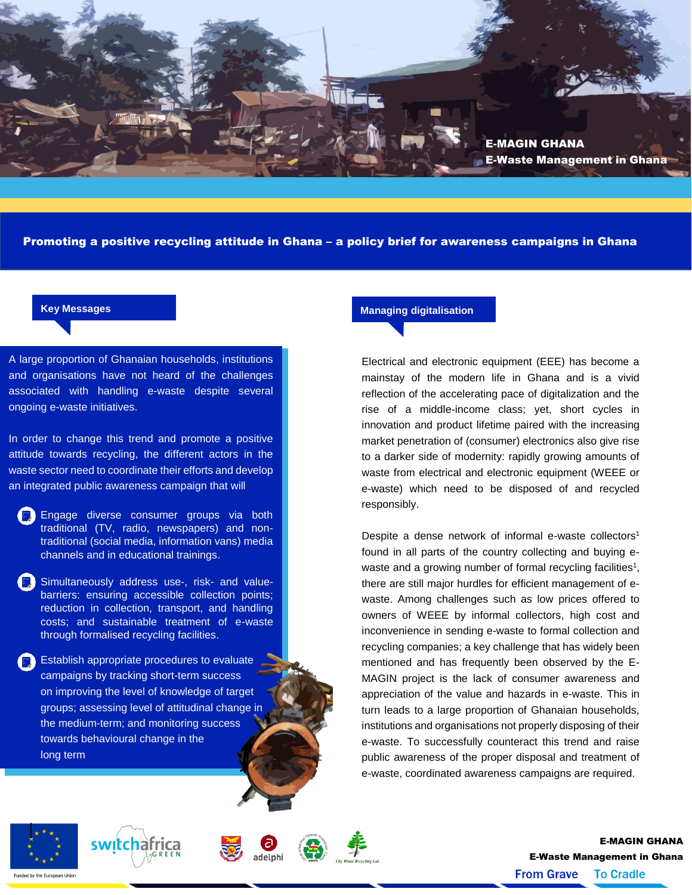

Promoting a positive recycling attitude in Ghana – a policy brief for awareness campaigns in Ghana

A large proportion of Ghanaian households, institutions and organisations have not heard of the challenges associated with handling e-waste despite several ongoing e-waste initiatives.

In order to change this trend and promote a positive attitude towards recycling, the different actors in the waste sector need to coordinate their efforts and develop an integrated public awareness campaign that will

Engage diverse consumer groups via both traditional (TV, radio, newspapers) and nontraditional (social media, information vans) media channels and in educational trainings.

Simultaneously address use-, risk- and valuebarriers: ensuring accessible collection points; reduction in collection, transport, and handling costs; and sustainable treatment of e-waste through formalised recycling facilities.

Establish appropriate procedures to evaluate campaigns by tracking short-term success on improving the level of knowledge of target groups; assessing level of attitudinal change in the medium-term; and monitoring success towards behavioural change in the long term

# **Key Messages Managing digitalisation Managing digitalisation**

Electrical and electronic equipment (EEE) has become a mainstay of the modern life in Ghana and is a vivid reflection of the accelerating pace of digitalization and the rise of a middle-income class; yet, short cycles in innovation and product lifetime paired with the increasing market penetration of (consumer) electronics also give rise to a darker side of modernity: rapidly growing amounts of waste from electrical and electronic equipment (WEEE or e-waste) which need to be disposed of and recycled responsibly.

Despite a dense network of informal e-waste collectors<sup>1</sup> found in all parts of the country collecting and buying ewaste and a growing number of formal recycling facilities<sup>1</sup>, there are still major hurdles for efficient management of ewaste. Among challenges such as low prices offered to owners of WEEE by informal collectors, high cost and inconvenience in sending e-waste to formal collection and recycling companies; a key challenge that has widely been mentioned and has frequently been observed by the E-MAGIN project is the lack of consumer awareness and appreciation of the value and hazards in e-waste. This in turn leads to a large proportion of Ghanaian households, institutions and organisations not properly disposing of their e-waste. To successfully counteract this trend and raise public awareness of the proper disposal and treatment of e-waste, coordinated awareness campaigns are required.









E-MAGIN GHANA E-Waste Management in Ghana **From Grave To Cradle**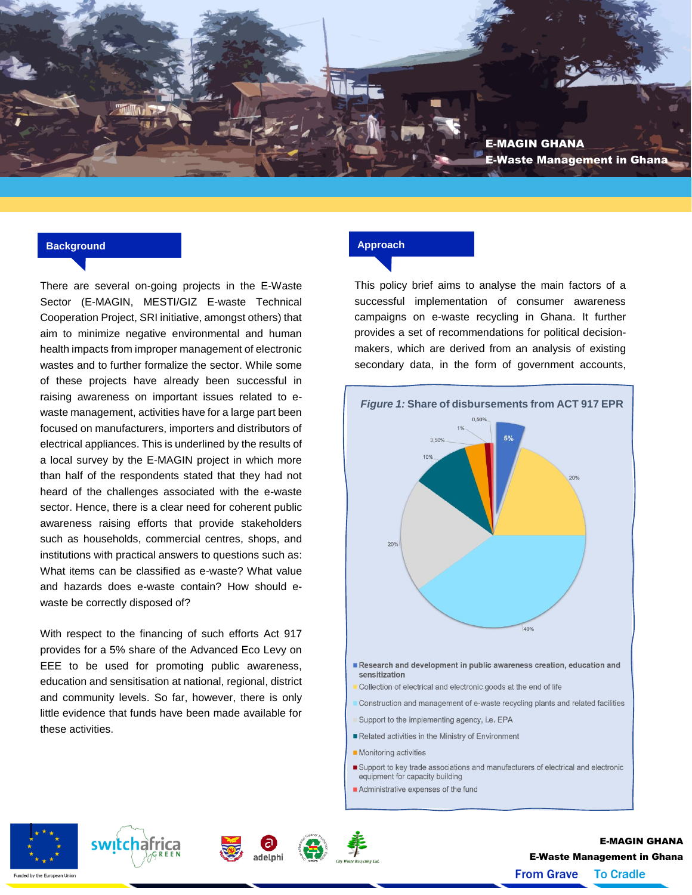

#### **Background**

There are several on-going projects in the E-Waste Sector (E-MAGIN, MESTI/GIZ E-waste Technical Cooperation Project, SRI initiative, amongst others) that aim to minimize negative environmental and human health impacts from improper management of electronic wastes and to further formalize the sector. While some of these projects have already been successful in raising awareness on important issues related to ewaste management, activities have for a large part been focused on manufacturers, importers and distributors of electrical appliances. This is underlined by the results of a local survey by the E-MAGIN project in which more than half of the respondents stated that they had not heard of the challenges associated with the e-waste sector. Hence, there is a clear need for coherent public awareness raising efforts that provide stakeholders such as households, commercial centres, shops, and institutions with practical answers to questions such as: What items can be classified as e-waste? What value and hazards does e-waste contain? How should ewaste be correctly disposed of?

With respect to the financing of such efforts Act 917 provides for a 5% share of the Advanced Eco Levy on EEE to be used for promoting public awareness, education and sensitisation at national, regional, district and community levels. So far, however, there is only little evidence that funds have been made available for these activities.

# **Approach**

This policy brief aims to analyse the main factors of a successful implementation of consumer awareness campaigns on e-waste recycling in Ghana. It further provides a set of recommendations for political decisionmakers, which are derived from an analysis of existing secondary data, in the form of government accounts,











E-MAGIN GHANA E-Waste Management in Ghana **From Grave To Cradle**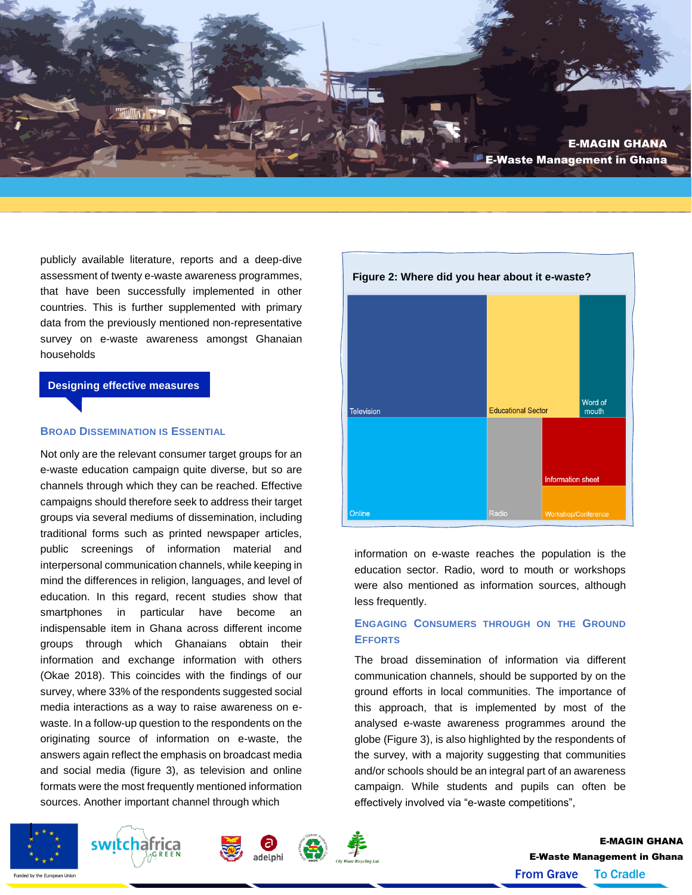

publicly available literature, reports and a deep-dive assessment of twenty e-waste awareness programmes, that have been successfully implemented in other countries. This is further supplemented with primary data from the previously mentioned non-representative survey on e-waste awareness amongst Ghanaian households

### **Designing effective measures**

#### **BROAD DISSEMINATION IS ESSENTIAL**

Not only are the relevant consumer target groups for an e-waste education campaign quite diverse, but so are channels through which they can be reached. Effective campaigns should therefore seek to address their target groups via several mediums of dissemination, including traditional forms such as printed newspaper articles, public screenings of information material and interpersonal communication channels, while keeping in mind the differences in religion, languages, and level of education. In this regard, recent studies show that smartphones in particular have become an indispensable item in Ghana across different income groups through which Ghanaians obtain their information and exchange information with others (Okae 2018). This coincides with the findings of our survey, where 33% of the respondents suggested social media interactions as a way to raise awareness on ewaste. In a follow-up question to the respondents on the originating source of information on e-waste, the answers again reflect the emphasis on broadcast media and social media (figure 3), as television and online formats were the most frequently mentioned information sources. Another important channel through which



information on e-waste reaches the population is the education sector. Radio, word to mouth or workshops were also mentioned as information sources, although less frequently.

# **ENGAGING CONSUMERS THROUGH ON THE GROUND EFFORTS**

The broad dissemination of information via different communication channels, should be supported by on the ground efforts in local communities. The importance of this approach, that is implemented by most of the analysed e-waste awareness programmes around the globe (Figure 3), is also highlighted by the respondents of the survey, with a majority suggesting that communities and/or schools should be an integral part of an awareness campaign. While students and pupils can often be effectively involved via "e-waste competitions",









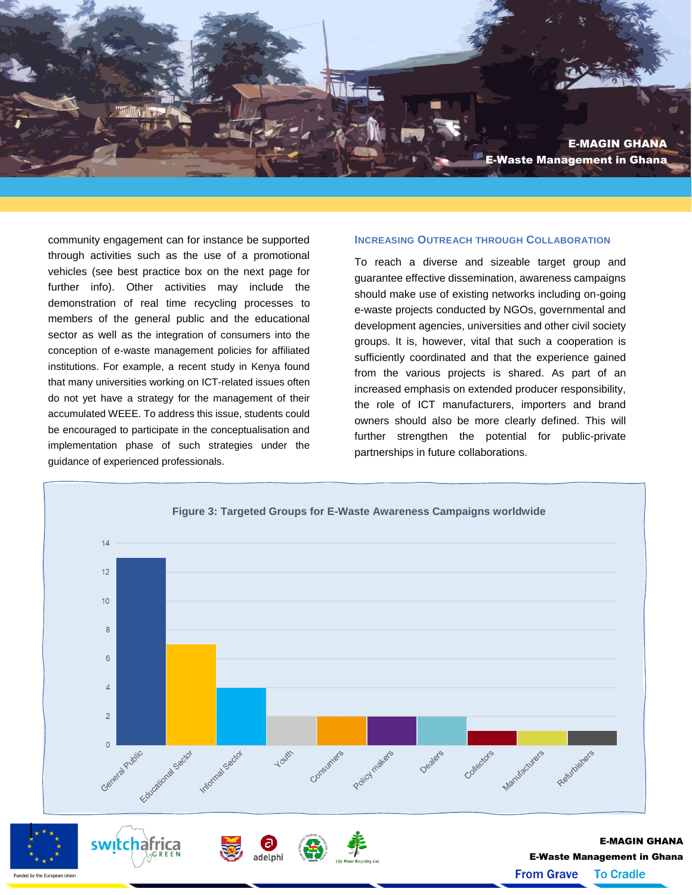

community engagement can for instance be supported through activities such as the use of a promotional vehicles (see best practice box on the next page for further info). Other activities may include the demonstration of real time recycling processes to members of the general public and the educational sector as well as the integration of consumers into the conception of e-waste management policies for affiliated institutions. For example, a recent study in Kenya found that many universities working on ICT-related issues often do not yet have a strategy for the management of their accumulated WEEE. To address this issue, students could be encouraged to participate in the conceptualisation and implementation phase of such strategies under the guidance of experienced professionals.

### **INCREASING OUTREACH THROUGH COLLABORATION**

To reach a diverse and sizeable target group and guarantee effective dissemination, awareness campaigns should make use of existing networks including on-going e-waste projects conducted by NGOs, governmental and development agencies, universities and other civil society groups. It is, however, vital that such a cooperation is sufficiently coordinated and that the experience gained from the various projects is shared. As part of an increased emphasis on extended producer responsibility, the role of ICT manufacturers, importers and brand owners should also be more clearly defined. This will further strengthen the potential for public-private partnerships in future collaborations.

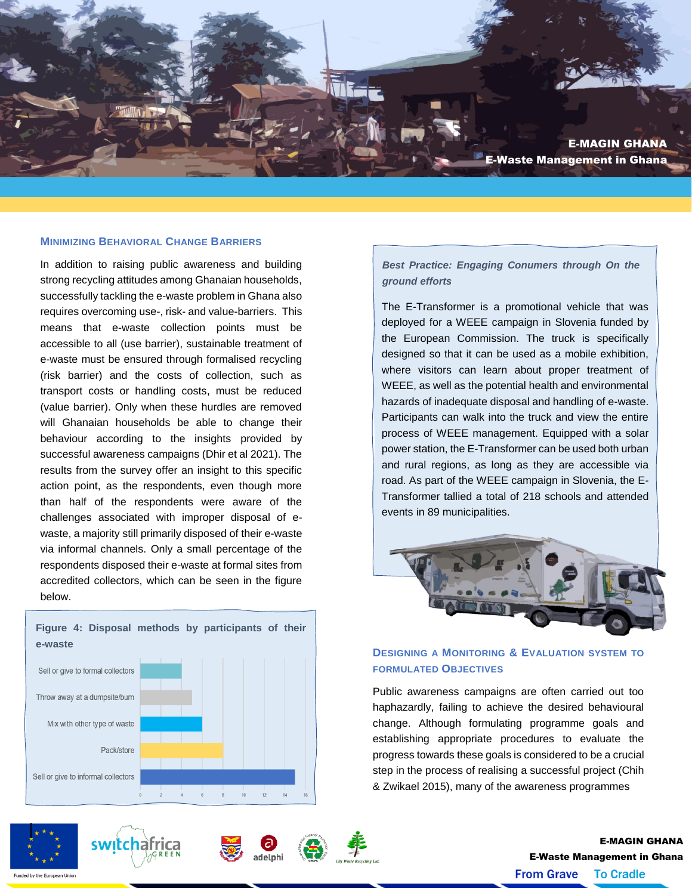

## **MINIMIZING BEHAVIORAL CHANGE BARRIERS**

In addition to raising public awareness and building strong recycling attitudes among Ghanaian households, successfully tackling the e-waste problem in Ghana also requires overcoming use-, risk- and value-barriers. This means that e-waste collection points must be accessible to all (use barrier), sustainable treatment of e-waste must be ensured through formalised recycling (risk barrier) and the costs of collection, such as transport costs or handling costs, must be reduced (value barrier). Only when these hurdles are removed will Ghanaian households be able to change their behaviour according to the insights provided by successful awareness campaigns (Dhir et al 2021). The results from the survey offer an insight to this specific action point, as the respondents, even though more than half of the respondents were aware of the challenges associated with improper disposal of ewaste, a majority still primarily disposed of their e-waste via informal channels. Only a small percentage of the respondents disposed their e-waste at formal sites from accredited collectors, which can be seen in the figure below.





inded by the European Union







*Best Practice: Engaging Conumers through On the ground efforts*

The E-Transformer is a promotional vehicle that was deployed for a WEEE campaign in Slovenia funded by the European Commission. The truck is specifically designed so that it can be used as a mobile exhibition, where visitors can learn about proper treatment of WEEE, as well as the potential health and environmental hazards of inadequate disposal and handling of e-waste. Participants can walk into the truck and view the entire process of WEEE management. Equipped with a solar power station, the E-Transformer can be used both urban and rural regions, as long as they are accessible via road. As part of the WEEE campaign in Slovenia, the E-Transformer tallied a total of 218 schools and attended events in 89 municipalities.



# **DESIGNING A MONITORING & EVALUATION SYSTEM TO FORMULATED OBJECTIVES**

Public awareness campaigns are often carried out too haphazardly, failing to achieve the desired behavioural change. Although formulating programme goals and establishing appropriate procedures to evaluate the progress towards these goals is considered to be a crucial step in the process of realising a successful project (Chih & Zwikael 2015), many of the awareness programmes

> E-MAGIN GHANA E-Waste Management in Ghana **From Grave To Cradle**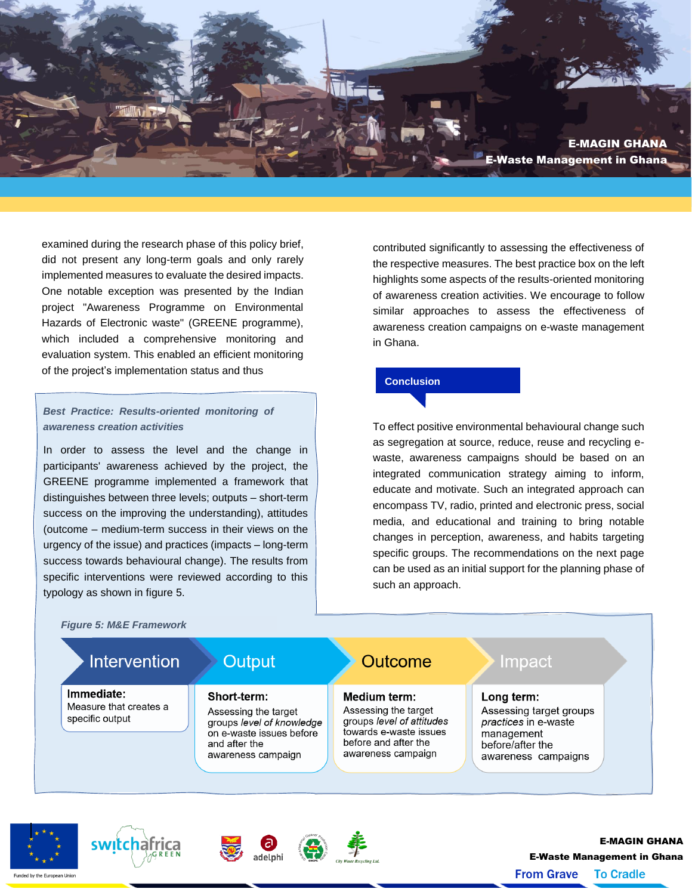

examined during the research phase of this policy brief, did not present any long-term goals and only rarely implemented measures to evaluate the desired impacts. One notable exception was presented by the Indian project "Awareness Programme on Environmental Hazards of Electronic waste" (GREENE programme), which included a comprehensive monitoring and evaluation system. This enabled an efficient monitoring of the project's implementation status and thus

#### Best Practice: Results-oriented monitoring of about below below. We encourage the following the similar approach of the similar approach of the similar approach of the similar similar approach of the similar similar similar similar similar similar similar similar simi *awareness creation activities*

In order to assess the level and the change in participants' awareness achieved by the project, the GREENE programme implemented a framework that distinguishes between three levels; outputs – short-term success on the improving the understanding), attitudes (outcome – medium-term success in their views on the urgency of the issue) and practices (impacts – long-term success towards behavioural change). The results from specific interventions were reviewed according to this typology as shown in figure 5.

contributed significantly to assessing the effectiveness of the respective measures. The best practice box on the left highlights some aspects of the results-oriented monitoring of awareness creation activities. We encourage to follow similar approaches to assess the effectiveness of awareness creation campaigns on e-waste management in Ghana.

# **Conclusion**

To effect positive environmental behavioural change such as segregation at source, reduce, reuse and recycling ewaste, awareness campaigns should be based on an integrated communication strategy aiming to inform, educate and motivate. Such an integrated approach can encompass TV, radio, printed and electronic press, social media, and educational and training to bring notable changes in perception, awareness, and habits targeting specific groups. The recommendations on the next page can be used as an initial support for the planning phase of such an approach.

**From Grave** 

**To Cradle** 



unded by the European Union